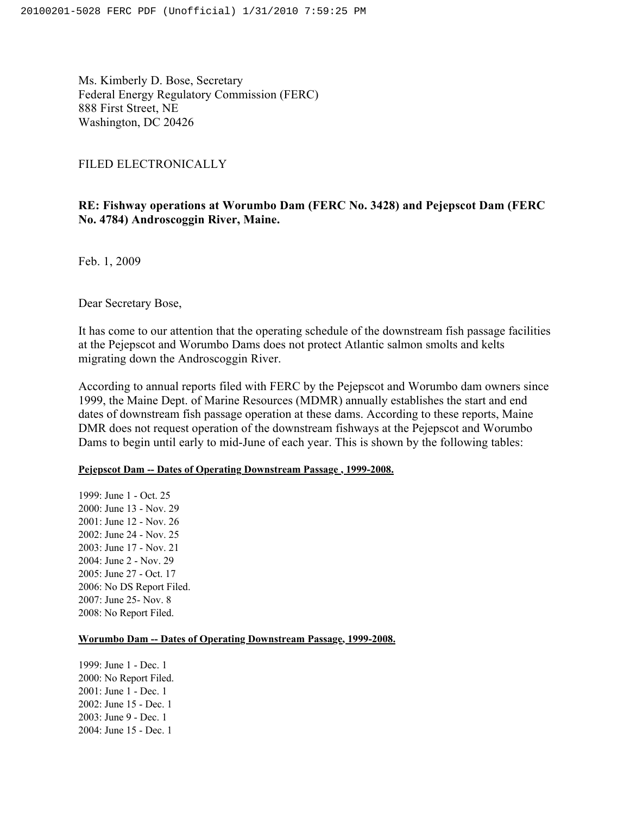Ms. Kimberly D. Bose, Secretary Federal Energy Regulatory Commission (FERC) 888 First Street, NE Washington, DC 20426

### FILED ELECTRONICALLY

# **RE: Fishway operations at Worumbo Dam (FERC No. 3428) and Pejepscot Dam (FERC No. 4784) Androscoggin River, Maine.**

Feb. 1, 2009

Dear Secretary Bose,

It has come to our attention that the operating schedule of the downstream fish passage facilities at the Pejepscot and Worumbo Dams does not protect Atlantic salmon smolts and kelts migrating down the Androscoggin River.

According to annual reports filed with FERC by the Pejepscot and Worumbo dam owners since 1999, the Maine Dept. of Marine Resources (MDMR) annually establishes the start and end dates of downstream fish passage operation at these dams. According to these reports, Maine DMR does not request operation of the downstream fishways at the Pejepscot and Worumbo Dams to begin until early to mid-June of each year. This is shown by the following tables:

## **Pejepscot Dam -- Dates of Operating Downstream Passage , 1999-2008.**

1999: June 1 - Oct. 25 2000: June 13 - Nov. 29 2001: June 12 - Nov. 26 2002: June 24 - Nov. 25 2003: June 17 - Nov. 21 2004: June 2 - Nov. 29 2005: June 27 - Oct. 17 2006: No DS Report Filed. 2007: June 25- Nov. 8 2008: No Report Filed.

### **Worumbo Dam -- Dates of Operating Downstream Passage, 1999-2008.**

1999: June 1 - Dec. 1 2000: No Report Filed. 2001: June 1 - Dec. 1 2002: June 15 - Dec. 1 2003: June 9 - Dec. 1 2004: June 15 - Dec. 1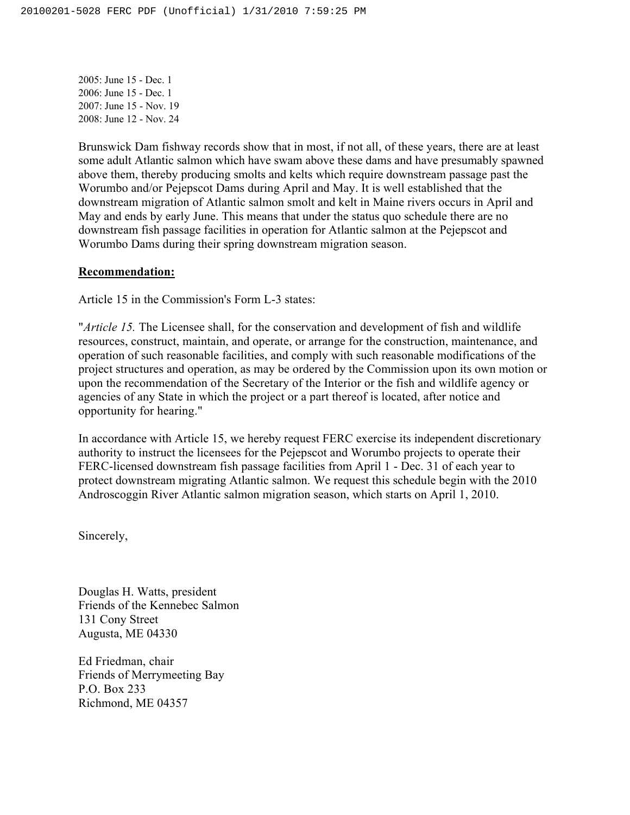2005: June 15 - Dec. 1 2006: June 15 - Dec. 1 2007: June 15 - Nov. 19 2008: June 12 - Nov. 24

Brunswick Dam fishway records show that in most, if not all, of these years, there are at least some adult Atlantic salmon which have swam above these dams and have presumably spawned above them, thereby producing smolts and kelts which require downstream passage past the Worumbo and/or Pejepscot Dams during April and May. It is well established that the downstream migration of Atlantic salmon smolt and kelt in Maine rivers occurs in April and May and ends by early June. This means that under the status quo schedule there are no downstream fish passage facilities in operation for Atlantic salmon at the Pejepscot and Worumbo Dams during their spring downstream migration season.

### **Recommendation:**

Article 15 in the Commission's Form L-3 states:

"*Article 15.* The Licensee shall, for the conservation and development of fish and wildlife resources, construct, maintain, and operate, or arrange for the construction, maintenance, and operation of such reasonable facilities, and comply with such reasonable modifications of the project structures and operation, as may be ordered by the Commission upon its own motion or upon the recommendation of the Secretary of the Interior or the fish and wildlife agency or agencies of any State in which the project or a part thereof is located, after notice and opportunity for hearing."

In accordance with Article 15, we hereby request FERC exercise its independent discretionary authority to instruct the licensees for the Pejepscot and Worumbo projects to operate their FERC-licensed downstream fish passage facilities from April 1 - Dec. 31 of each year to protect downstream migrating Atlantic salmon. We request this schedule begin with the 2010 Androscoggin River Atlantic salmon migration season, which starts on April 1, 2010.

Sincerely,

Douglas H. Watts, president Friends of the Kennebec Salmon 131 Cony Street Augusta, ME 04330

Ed Friedman, chair Friends of Merrymeeting Bay P.O. Box 233 Richmond, ME 04357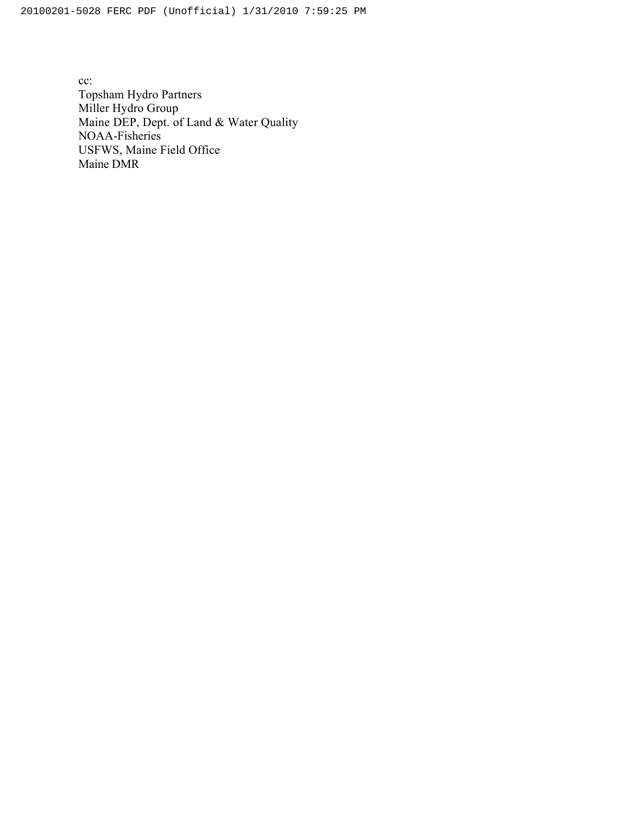cc: Topsham Hydro Partners Miller Hydro Group Maine DEP, Dept. of Land & Water Quality NOAA-Fisheries USFWS, Maine Field Office Maine DMR